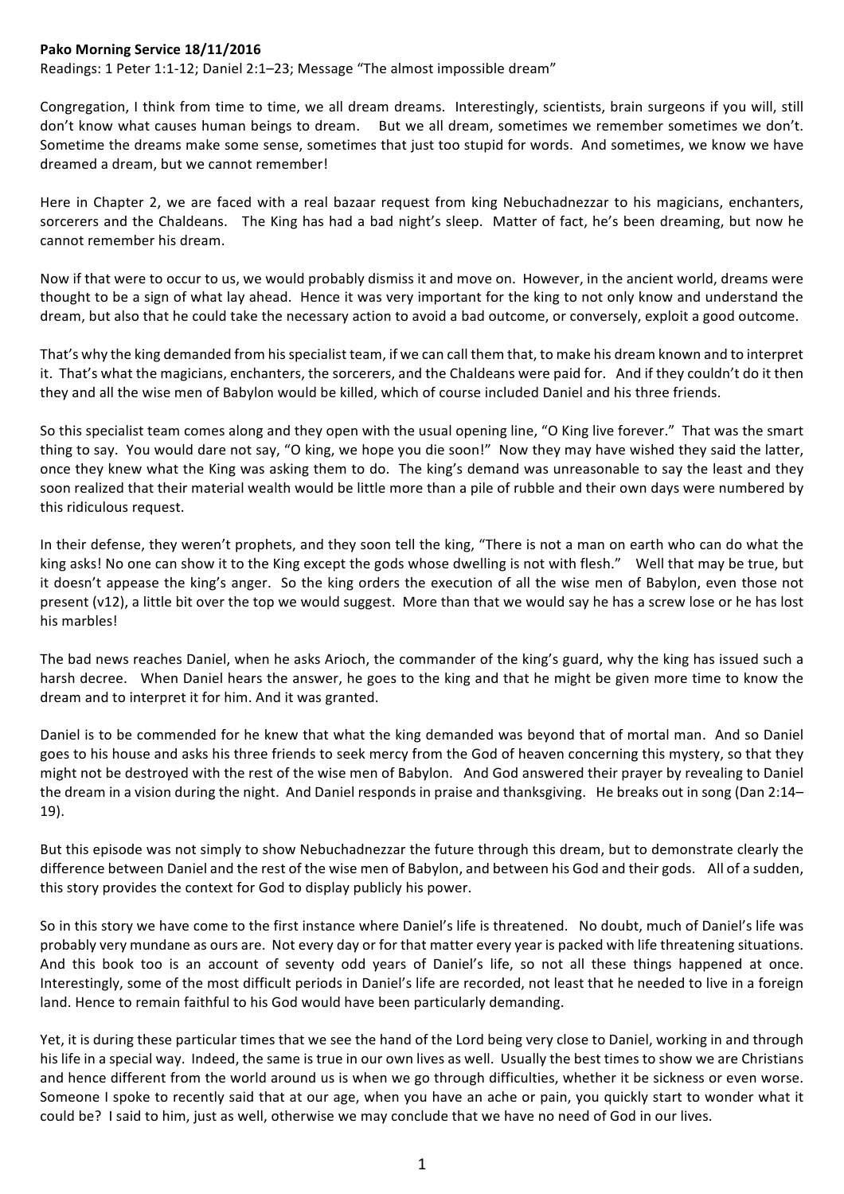## Pako Morning Service 18/11/2016

Readings: 1 Peter 1:1-12; Daniel 2:1-23; Message "The almost impossible dream"

Congregation, I think from time to time, we all dream dreams. Interestingly, scientists, brain surgeons if you will, still don't know what causes human beings to dream. But we all dream, sometimes we remember sometimes we don't. Sometime the dreams make some sense, sometimes that just too stupid for words. And sometimes, we know we have dreamed a dream, but we cannot remember!

Here in Chapter 2, we are faced with a real bazaar request from king Nebuchadnezzar to his magicians, enchanters, sorcerers and the Chaldeans. The King has had a bad night's sleep. Matter of fact, he's been dreaming, but now he cannot remember his dream.

Now if that were to occur to us, we would probably dismiss it and move on. However, in the ancient world, dreams were thought to be a sign of what lay ahead. Hence it was very important for the king to not only know and understand the dream, but also that he could take the necessary action to avoid a bad outcome, or conversely, exploit a good outcome.

That's why the king demanded from his specialist team, if we can call them that, to make his dream known and to interpret it. That's what the magicians, enchanters, the sorcerers, and the Chaldeans were paid for. And if they couldn't do it then they and all the wise men of Babylon would be killed, which of course included Daniel and his three friends.

So this specialist team comes along and they open with the usual opening line, "O King live forever." That was the smart thing to say. You would dare not say, "O king, we hope you die soon!" Now they may have wished they said the latter, once they knew what the King was asking them to do. The king's demand was unreasonable to say the least and they soon realized that their material wealth would be little more than a pile of rubble and their own days were numbered by this ridiculous request.

In their defense, they weren't prophets, and they soon tell the king, "There is not a man on earth who can do what the king asks! No one can show it to the King except the gods whose dwelling is not with flesh." Well that may be true, but it doesn't appease the king's anger. So the king orders the execution of all the wise men of Babylon, even those not present  $(v12)$ , a little bit over the top we would suggest. More than that we would say he has a screw lose or he has lost his marbles!

The bad news reaches Daniel, when he asks Arioch, the commander of the king's guard, why the king has issued such a harsh decree. When Daniel hears the answer, he goes to the king and that he might be given more time to know the dream and to interpret it for him. And it was granted.

Daniel is to be commended for he knew that what the king demanded was beyond that of mortal man. And so Daniel goes to his house and asks his three friends to seek mercy from the God of heaven concerning this mystery, so that they might not be destroyed with the rest of the wise men of Babylon. And God answered their prayer by revealing to Daniel the dream in a vision during the night. And Daniel responds in praise and thanksgiving. He breaks out in song (Dan 2:14– 19). 

But this episode was not simply to show Nebuchadnezzar the future through this dream, but to demonstrate clearly the difference between Daniel and the rest of the wise men of Babylon, and between his God and their gods. All of a sudden, this story provides the context for God to display publicly his power.

So in this story we have come to the first instance where Daniel's life is threatened. No doubt, much of Daniel's life was probably very mundane as ours are. Not every day or for that matter every year is packed with life threatening situations. And this book too is an account of seventy odd years of Daniel's life, so not all these things happened at once. Interestingly, some of the most difficult periods in Daniel's life are recorded, not least that he needed to live in a foreign land. Hence to remain faithful to his God would have been particularly demanding.

Yet, it is during these particular times that we see the hand of the Lord being very close to Daniel, working in and through his life in a special way. Indeed, the same is true in our own lives as well. Usually the best times to show we are Christians and hence different from the world around us is when we go through difficulties, whether it be sickness or even worse. Someone I spoke to recently said that at our age, when you have an ache or pain, you quickly start to wonder what it could be? I said to him, just as well, otherwise we may conclude that we have no need of God in our lives.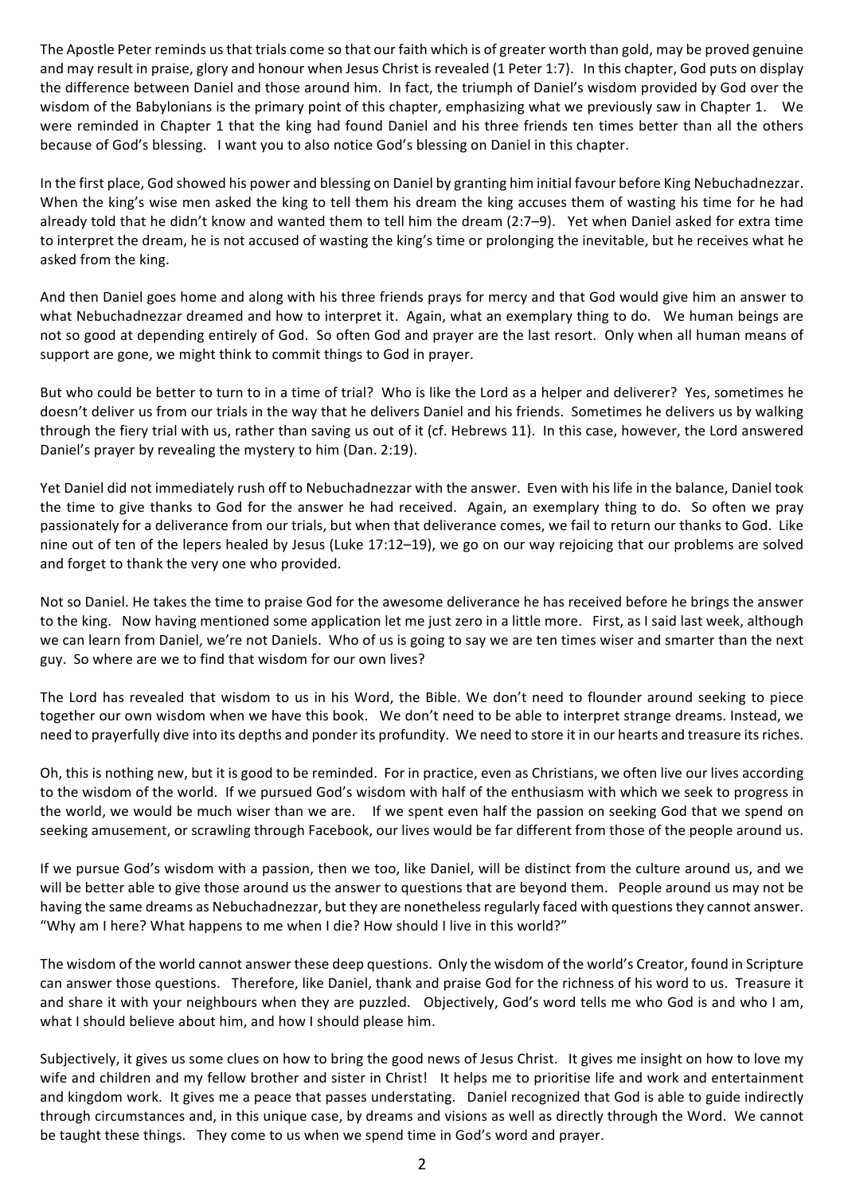The Apostle Peter reminds us that trials come so that our faith which is of greater worth than gold, may be proved genuine and may result in praise, glory and honour when Jesus Christ is revealed (1 Peter 1:7). In this chapter, God puts on display the difference between Daniel and those around him. In fact, the triumph of Daniel's wisdom provided by God over the wisdom of the Babylonians is the primary point of this chapter, emphasizing what we previously saw in Chapter 1. We were reminded in Chapter 1 that the king had found Daniel and his three friends ten times better than all the others because of God's blessing. I want you to also notice God's blessing on Daniel in this chapter.

In the first place, God showed his power and blessing on Daniel by granting him initial favour before King Nebuchadnezzar. When the king's wise men asked the king to tell them his dream the king accuses them of wasting his time for he had already told that he didn't know and wanted them to tell him the dream (2:7–9). Yet when Daniel asked for extra time to interpret the dream, he is not accused of wasting the king's time or prolonging the inevitable, but he receives what he asked from the king.

And then Daniel goes home and along with his three friends prays for mercy and that God would give him an answer to what Nebuchadnezzar dreamed and how to interpret it. Again, what an exemplary thing to do. We human beings are not so good at depending entirely of God. So often God and prayer are the last resort. Only when all human means of support are gone, we might think to commit things to God in prayer.

But who could be better to turn to in a time of trial? Who is like the Lord as a helper and deliverer? Yes, sometimes he doesn't deliver us from our trials in the way that he delivers Daniel and his friends. Sometimes he delivers us by walking through the fiery trial with us, rather than saving us out of it (cf. Hebrews 11). In this case, however, the Lord answered Daniel's prayer by revealing the mystery to him (Dan. 2:19).

Yet Daniel did not immediately rush off to Nebuchadnezzar with the answer. Even with his life in the balance, Daniel took the time to give thanks to God for the answer he had received. Again, an exemplary thing to do. So often we pray passionately for a deliverance from our trials, but when that deliverance comes, we fail to return our thanks to God. Like nine out of ten of the lepers healed by Jesus (Luke  $17:12-19$ ), we go on our way rejoicing that our problems are solved and forget to thank the very one who provided.

Not so Daniel. He takes the time to praise God for the awesome deliverance he has received before he brings the answer to the king. Now having mentioned some application let me just zero in a little more. First, as I said last week, although we can learn from Daniel, we're not Daniels. Who of us is going to say we are ten times wiser and smarter than the next guy. So where are we to find that wisdom for our own lives?

The Lord has revealed that wisdom to us in his Word, the Bible. We don't need to flounder around seeking to piece together our own wisdom when we have this book. We don't need to be able to interpret strange dreams. Instead, we need to prayerfully dive into its depths and ponder its profundity. We need to store it in our hearts and treasure its riches.

Oh, this is nothing new, but it is good to be reminded. For in practice, even as Christians, we often live our lives according to the wisdom of the world. If we pursued God's wisdom with half of the enthusiasm with which we seek to progress in the world, we would be much wiser than we are. If we spent even half the passion on seeking God that we spend on seeking amusement, or scrawling through Facebook, our lives would be far different from those of the people around us.

If we pursue God's wisdom with a passion, then we too, like Daniel, will be distinct from the culture around us, and we will be better able to give those around us the answer to questions that are beyond them. People around us may not be having the same dreams as Nebuchadnezzar, but they are nonetheless regularly faced with questions they cannot answer. "Why am I here? What happens to me when I die? How should I live in this world?"

The wisdom of the world cannot answer these deep questions. Only the wisdom of the world's Creator, found in Scripture can answer those questions. Therefore, like Daniel, thank and praise God for the richness of his word to us. Treasure it and share it with your neighbours when they are puzzled. Objectively, God's word tells me who God is and who I am, what I should believe about him, and how I should please him.

Subjectively, it gives us some clues on how to bring the good news of Jesus Christ. It gives me insight on how to love my wife and children and my fellow brother and sister in Christ! It helps me to prioritise life and work and entertainment and kingdom work. It gives me a peace that passes understating. Daniel recognized that God is able to guide indirectly through circumstances and, in this unique case, by dreams and visions as well as directly through the Word. We cannot be taught these things. They come to us when we spend time in God's word and prayer.